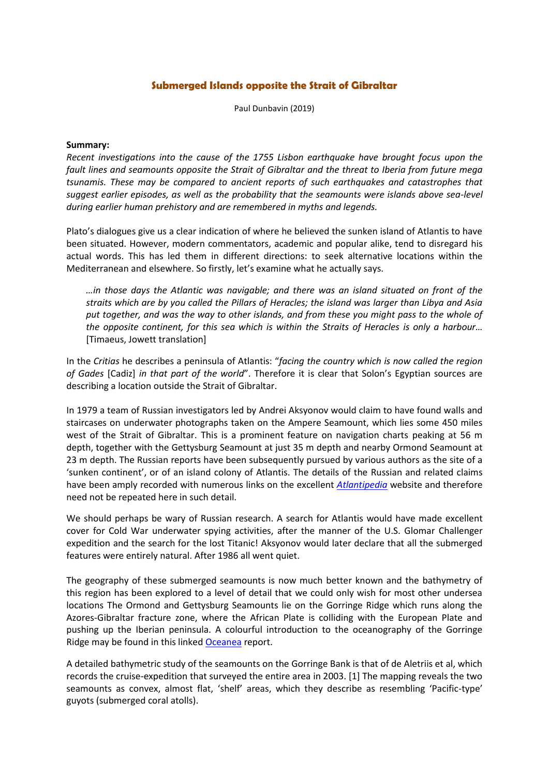## **Submerged Islands opposite the Strait of Gibraltar**

Paul Dunbavin (2019)

## **Summary:**

*Recent investigations into the cause of the 1755 Lisbon earthquake have brought focus upon the fault lines and seamounts opposite the Strait of Gibraltar and the threat to Iberia from future mega tsunamis. These may be compared to ancient reports of such earthquakes and catastrophes that suggest earlier episodes, as well as the probability that the seamounts were islands above sea-level during earlier human prehistory and are remembered in myths and legends.*

Plato's dialogues give us a clear indication of where he believed the sunken island of Atlantis to have been situated. However, modern commentators, academic and popular alike, tend to disregard his actual words. This has led them in different directions: to seek alternative locations within the Mediterranean and elsewhere. So firstly, let's examine what he actually says.

*…in those days the Atlantic was navigable; and there was an island situated on front of the straits which are by you called the Pillars of Heracles; the island was larger than Libya and Asia put together, and was the way to other islands, and from these you might pass to the whole of the opposite continent, for this sea which is within the Straits of Heracles is only a harbour…* [Timaeus, Jowett translation]

In the *Critias* he describes a peninsula of Atlantis: "*facing the country which is now called the region of Gades* [Cadiz] *in that part of the world*". Therefore it is clear that Solon's Egyptian sources are describing a location outside the Strait of Gibraltar.

In 1979 a team of Russian investigators led by Andrei Aksyonov would claim to have found walls and staircases on underwater photographs taken on the Ampere Seamount, which lies some 450 miles west of the Strait of Gibraltar. This is a prominent feature on navigation charts peaking at 56 m depth, together with the Gettysburg Seamount at just 35 m depth and nearby Ormond Seamount at 23 m depth. The Russian reports have been subsequently pursued by various authors as the site of a 'sunken continent', or of an island colony of Atlantis. The details of the Russian and related claims have been amply recorded with numerous links on the excellent *[Atlantipedia](http://atlantipedia.ie/samples/tag/gettysburg-seamount/)* website and therefore need not be repeated here in such detail.

We should perhaps be wary of Russian research. A search for Atlantis would have made excellent cover for Cold War underwater spying activities, after the manner of the U.S. Glomar Challenger expedition and the search for the lost Titanic! Aksyonov would later declare that all the submerged features were entirely natural. After 1986 all went quiet.

The geography of these submerged seamounts is now much better known and the bathymetry of this region has been explored to a level of detail that we could only wish for most other undersea locations The Ormond and Gettysburg Seamounts lie on the Gorringe Ridge which runs along the Azores-Gibraltar fracture zone, where the African Plate is colliding with the European Plate and pushing up the Iberian peninsula. A colourful introduction to the oceanography of the Gorringe Ridge may be found in this linked [Oceanea](https://eu.oceana.org/sites/default/files/reports/seamounts_gorringe_bank_eng.pdf) report.

A detailed bathymetric study of the seamounts on the Gorringe Bank is that of de Aletriis et al, which records the cruise-expedition that surveyed the entire area in 2003. [1] The mapping reveals the two seamounts as convex, almost flat, 'shelf' areas, which they describe as resembling 'Pacific-type' guyots (submerged coral atolls).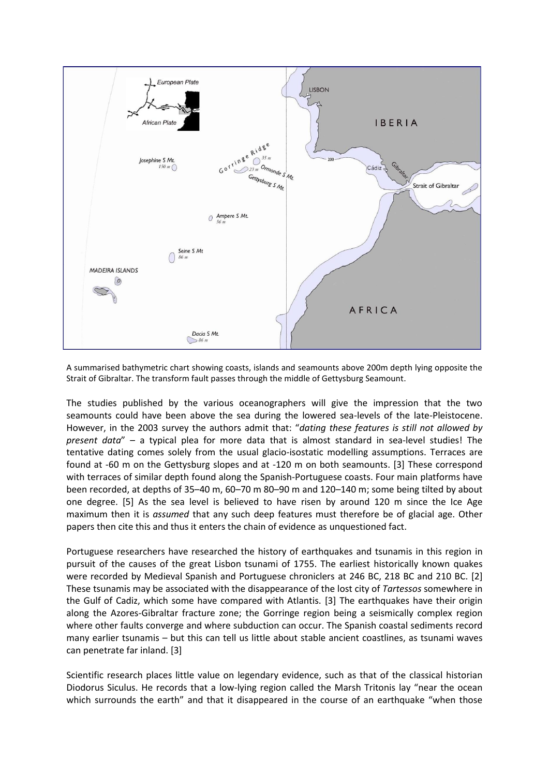

A summarised bathymetric chart showing coasts, islands and seamounts above 200m depth lying opposite the Strait of Gibraltar. The transform fault passes through the middle of Gettysburg Seamount.

The studies published by the various oceanographers will give the impression that the two seamounts could have been above the sea during the lowered sea-levels of the late-Pleistocene. However, in the 2003 survey the authors admit that: "*dating these features is still not allowed by present data*" – a typical plea for more data that is almost standard in sea-level studies! The tentative dating comes solely from the usual glacio-isostatic modelling assumptions. Terraces are found at -60 m on the Gettysburg slopes and at -120 m on both seamounts. [3] These correspond with terraces of similar depth found along the Spanish-Portuguese coasts. Four main platforms have been recorded, at depths of 35–40 m, 60–70 m 80–90 m and 120–140 m; some being tilted by about one degree. [5] As the sea level is believed to have risen by around 120 m since the Ice Age maximum then it is *assumed* that any such deep features must therefore be of glacial age. Other papers then cite this and thus it enters the chain of evidence as unquestioned fact.

Portuguese researchers have researched the history of earthquakes and tsunamis in this region in pursuit of the causes of the great Lisbon tsunami of 1755. The earliest historically known quakes were recorded by Medieval Spanish and Portuguese chroniclers at 246 BC, 218 BC and 210 BC. [2] These tsunamis may be associated with the disappearance of the lost city of *Tartessos* somewhere in the Gulf of Cadiz, which some have compared with Atlantis. [3] The earthquakes have their origin along the Azores-Gibraltar fracture zone; the Gorringe region being a seismically complex region where other faults converge and where subduction can occur. The Spanish coastal sediments record many earlier tsunamis – but this can tell us little about stable ancient coastlines, as tsunami waves can penetrate far inland. [3]

Scientific research places little value on legendary evidence, such as that of the classical historian Diodorus Siculus. He records that a low-lying region called the Marsh Tritonis lay "near the ocean which surrounds the earth" and that it disappeared in the course of an earthquake "when those